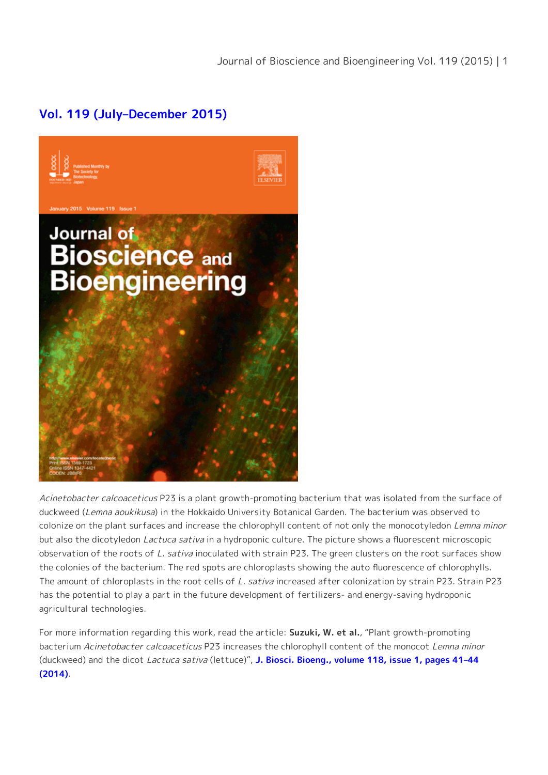## **[Vol. 119 \(July–December 2015\)](https://www.sciencedirect.com/journal/journal-of-bioscience-and-bioengineering/issues)**



Acinetobacter calcoaceticus P23 is a plant growth-promoting bacterium that was isolated from the surface of duckweed (Lemna aoukikusa) in the Hokkaido University Botanical Garden. The bacterium was observed to colonize on the plant surfaces and increase the chlorophyll content of not only the monocotyledon Lemna minor but also the dicotyledon *Lactuca sativa* in a hydroponic culture. The picture shows a fluorescent microscopic observation of the roots of L. sativa inoculated with strain P23. The green clusters on the root surfaces show the colonies of the bacterium. The red spots are chloroplasts showing the auto fluorescence of chlorophylls. The amount of chloroplasts in the root cells of L. sativa increased after colonization by strain P23. Strain P23 has the potential to play a part in the future development of fertilizers- and energy-saving hydroponic agricultural technologies.

For more information regarding this work, read the article: **Suzuki, W. et al.**, "Plant growth-promoting bacterium Acinetobacter calcoaceticus P23 increases the chlorophyll content of the monocot Lemna minor (duckweed) and the dicot Lactuca sativa (lettuce)", **[J. Biosci. Bioeng., volume 118, issue 1, pages 41–44](http://dx.doi.org/10.1016/j.jbiosc.2013.12.007) [\(2014\)](http://dx.doi.org/10.1016/j.jbiosc.2013.12.007)**.